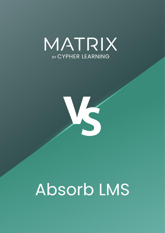



# Absorb LMS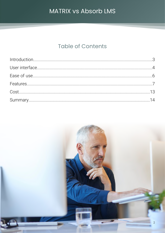## **Table of Contents**

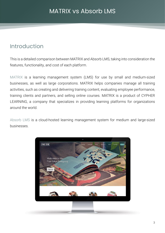## <span id="page-2-0"></span>Introduction

This is a detailed comparison between MATRIX and Absorb LMS, taking into consideration the features, functionality, and cost of each platform.

MATRIX is a learning management system (LMS) for use by small and medium-sized businesses, as well as large corporations. MATRIX helps companies manage all training activities, such as creating and delivering training content, evaluating employee performance, training clients and partners, and selling online courses. MATRIX is a product of CYPHER LEARNING, a company that specializes in providing learning platforms for organizations around the world.

Absorb LMS is a cloud-hosted learning management system for medium and large-sized businesses.

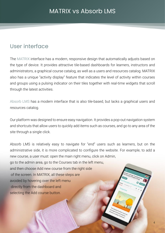## <span id="page-3-0"></span>User interface

The MATRIX interface has a modern, responsive design that automatically adjusts based on the type of device. It provides attractive tile-based dashboards for learners, instructors and administrators, a graphical course catalog, as well as a users and resources catalog. MATRIX also has a unique "activity display" feature that indicates the level of activity within courses and groups using a pulsing indicator on their tiles together with real-time widgets that scroll through the latest activities.

Absorb LMS has a modern interface that is also tile-based, but lacks a graphical users and resources catalog.

Our platform was designed to ensure easy navigation. It provides a pop-out navigation system and shortcuts that allow users to quickly add items such as courses, and go to any area of the site through a single click.

Absorb LMS is relatively easy to navigate for "end" users such as learners, but on the administrative side, it is more complicated to configure the website. For example, to add a new course, a user must: open the main right menu, click on Admin, go to the admin area, go to the Courses tab in the left menu, and then choose Add new course from the right side of the screen. In MATRIX, all these steps are avoided by hovering over the left menu directly from the dashboard and selecting the Add course button.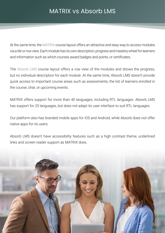At the same time, the MATRIX course layout offers an attractive and easy way to access modules via a tile or row view. Each module has its own description, progress and mastery wheel for learners and information such as which courses award badges and points, or certificates.

The Absorb LMS course layout offers a row view of the modules and shows the progress, but no individual description for each module. At the same time, Absorb LMS doesn't provide quick access to important course areas such as assessments, the list of learners enrolled in the course, chat, or upcoming events.

MATRIX offers support for more than 40 languages, including RTL languages. Absorb LMS has support for 25 languages, but does not adapt its user interface to suit RTL languages.

Our platform also has branded mobile apps for iOS and Android, while Absorb does not offer native apps for its users.

Absorb LMS doesn't have accessibility features such as a high contrast theme, underlined links and screen reader support as MATRIX does.

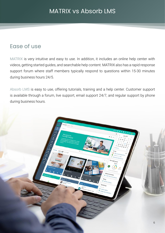## <span id="page-5-0"></span>Ease of use

MATRIX is very intuitive and easy to use. In addition, it includes an online help center with videos, getting started guides, and searchable help content. MATRIX also has a rapid response support forum where staff members typically respond to questions within 15-30 minutes during business hours 24/5.

Absorb LMS is easy to use, offering tutorials, training and a help center. Customer support is available through a forum, live support, email support 24/7, and regular support by phone during business hours.

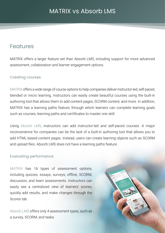## <span id="page-6-0"></span>Features

MATRIX offers a larger feature set than Absorb LMS, including support for more advanced assessment, collaboration and learner engagement options.

#### Creating courses

MATRIX offers a wide range of course options to help companies deliver instructor-led, self-paced, blended or micro learning. Instructors can easily create beautiful courses using the built-in authoring tool that allows them to add content pages, SCORM content, and more. In addition, MATRIX has a learning paths feature, through which learners can complete learning goals such as courses, learning paths and certificates to master one skill.

Using Absorb LMS, instructors can add instructor-led and self-paced courses. A major inconvenience for companies can be the lack of a built-in authoring tool that allows you to add HTML-based content pages. Instead, users can create learning objects such as SCORM and upload files. Absorb LMS does not have a learning paths feature.

7

#### Evaluating performance

MATRIX has 16 types of assessment options, including quizzes, essays, surveys, offline, SCORM, discussion, and team assessments. Instructors can easily see a centralized view of learners' scores, quickly add results, and make changes through the Scores tab.

Absorb LMS offers only 4 assessment types, such as a survey, SCORM, and tasks.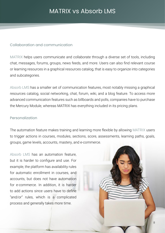#### Collaboration and communication

MATRIX helps users communicate and collaborate through a diverse set of tools, including chat, messages, forums, groups, news feeds, and more. Users can also find relevant course or learning resources in a graphical resources catalog, that is easy to organize into categories and subcategories.

Absorb LMS has a smaller set of communication features, most notably missing a graphical resources catalog, social networking, chat, forum, wiki, and a blog feature. To access more advanced communication features such as billboards and polls, companies have to purchase the Mercury Module, whereas MATRIX has everything included in its pricing plans.

#### Personalization

The automation feature makes training and learning more flexible by allowing MATRIX users to trigger actions in courses, modules, sections, score, assessments, learning paths, goals, groups, game levels, accounts, mastery, and e-commerce.

Absorb LMS has an automation feature, but it is harder to configure and use. For example, the platform has availability rules for automatic enrollment in courses, and accounts, but does not have automation for e-commerce. In addition, it is harder to add actions since users have to define "and/or" rules, which is a complicated process and generally takes more time.

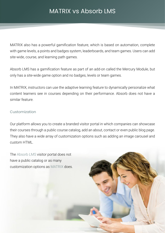MATRIX also has a powerful gamification feature, which is based on automation, complete with game levels, a points and badges system, leaderboards, and team games. Users can add site-wide, course, and learning path games.

Absorb LMS has a gamification feature as part of an add-on called the Mercury Module, but only has a site-wide game option and no badges, levels or team games.

In MATRIX, instructors can use the adaptive learning feature to dynamically personalize what content learners see in courses depending on their performance. Absorb does not have a similar feature.

#### Customization

Our platform allows you to create a branded visitor portal in which companies can showcase their courses through a public course catalog, add an about, contact or even public blog page. They also have a wide array of customization options such as adding an image carousel and custom HTML.

The Absorb LMS visitor portal does not have a public catalog or as many customization options as MATRIX does.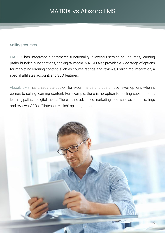#### Selling courses

MATRIX has integrated e-commerce functionality, allowing users to sell courses, learning paths, bundles, subscriptions, and digital media. MATRIX also provides a wide range of options for marketing learning content, such as course ratings and reviews, Mailchimp integration, a special affiliates account, and SEO features.

Absorb LMS has a separate add-on for e-commerce and users have fewer options when it comes to selling learning content. For example, there is no option for selling subscriptions, learning paths, or digital media. There are no advanced marketing tools such as course ratings and reviews, SEO, affiliates, or Mailchimp integration.

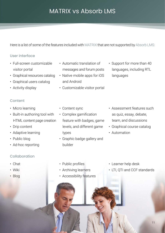Here is a list of some of the features included with MATRIX that are not supported by Absorb LMS:

#### User interface

- Full-screen customizable visitor portal
- Graphical resources catalog
- Graphical users catalog
- Activity display

#### Content

- Micro learning
- Built-in authoring tool with HTML content page creation
- Drip content
- Adaptive learning
- Public blog
- Ad-hoc reporting

#### Collaboration

- Chat
- Wiki
- Blog
- Automatic translation of messages and forum posts
- Native mobile apps for iOS and Android
- Customizable visitor portal
- Support for more than 40 languages, including RTL languages

- Content sync
- Complex gamification feature with badges, game levels, and different game types
- Graphic badge gallery and builder
- Assessment features such as quiz, essay, debate, team, and discussions
- Graphical course catalog
- Automation

- Public profiles
- Archiving learners
- Accessibility features
- Learner help desk
- LTI, QTI and CCF standards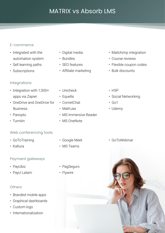#### E-commerce

- Integrated with the automation system
- Sell learning paths
- Subscriptions

#### Integrations

- Integration with 1,500+ apps via Zapier
- OneDrive and OneDrive for Business
- Panopto
- Turnitin

#### Web conferencing tools

- GoToTraining
- Kaltura

#### Payment gateways

- PayUbiz
- PayU Latam

#### **Others**

- Branded mobile apps
- Graphical dashboards
- Custom logo
- Internationalization
- Digital media
- Bundles
- SEO features
- Affiliate marketing
- Unicheck
- Equella
- CometChat
- MathJax
- MS Immersive Reader
- MS OneNote
	-
- 
- Mailchimp integration
- Course reviews
- Flexible coupon codes
- Bulk discounts
- H5P
- Social Networking
- Go1
- Udemy

• GoToWebinar



- 
- 
- Google Meet

### • MS Teams

- PagSeguro
- Flywire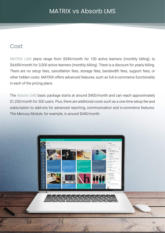## <span id="page-12-0"></span>Cost

MATRIX LMS plans range from \$549/month for 100 active learners (monthly billing), to \$4,699/month for 3,500 active learners (monthly billing). There is a discount for yearly billing. There are no setup fees, cancellation fees, storage fees, bandwidth fees, support fees, or other hidden costs. MATRIX offers advanced features, such as full e-commerce functionality in each of the pricing plans.

The Absorb LMS basic package starts at around \$400/month and can reach approximately \$1,200/month for 500 users. Plus, there are additional costs such as a one-time setup fee and subscription to add-ons for advanced reporting, communication and e-commerce features. The Mercury Module, for example, is around \$440/month.